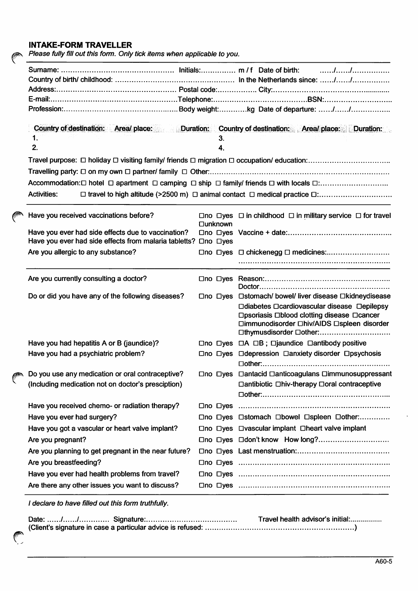## INTAKE-FORM TRAVELLER

 $\mathscr{C}$ 

Please fully fill out this form. Only tick items when applicable to you.

|                                                      | Country of destination: Area/ place: Duration: Country of destination: Area/ place: Duration:<br>1.<br>З.<br>2.<br>4. |                                                                                                                      |  |                            |                                                                                                                                                                    |  |  |  |
|------------------------------------------------------|-----------------------------------------------------------------------------------------------------------------------|----------------------------------------------------------------------------------------------------------------------|--|----------------------------|--------------------------------------------------------------------------------------------------------------------------------------------------------------------|--|--|--|
|                                                      |                                                                                                                       |                                                                                                                      |  |                            |                                                                                                                                                                    |  |  |  |
|                                                      |                                                                                                                       |                                                                                                                      |  |                            |                                                                                                                                                                    |  |  |  |
|                                                      |                                                                                                                       |                                                                                                                      |  |                            |                                                                                                                                                                    |  |  |  |
|                                                      |                                                                                                                       |                                                                                                                      |  |                            |                                                                                                                                                                    |  |  |  |
|                                                      | <b>Activities:</b>                                                                                                    |                                                                                                                      |  |                            |                                                                                                                                                                    |  |  |  |
|                                                      |                                                                                                                       | Have you received vaccinations before?                                                                               |  | <b>□unknown</b>            | $\Box$ no $\Box$ yes $\Box$ in childhood $\Box$ in military service $\Box$ for travel                                                                              |  |  |  |
|                                                      |                                                                                                                       | Have you ever had side effects due to vaccination?<br>Have you ever had side effects from malaria tabletts? Ono Dyes |  |                            |                                                                                                                                                                    |  |  |  |
|                                                      |                                                                                                                       | Are you allergic to any substance?                                                                                   |  |                            |                                                                                                                                                                    |  |  |  |
|                                                      |                                                                                                                       |                                                                                                                      |  |                            |                                                                                                                                                                    |  |  |  |
|                                                      |                                                                                                                       | Are you currently consulting a doctor?                                                                               |  |                            |                                                                                                                                                                    |  |  |  |
|                                                      |                                                                                                                       | Do or did you have any of the following diseases?                                                                    |  |                            | □no □yes □stomach/ bowel/ liver disease □kidneydisease                                                                                                             |  |  |  |
|                                                      |                                                                                                                       |                                                                                                                      |  |                            | □diabetes □cardiovascular disease □epilepsy<br>□psoriasis □blood clotting disease □cancer<br>□immunodisorder □hiv/AIDS □spleen disorder<br>□thymusdisorder □other: |  |  |  |
|                                                      |                                                                                                                       | Have you had hepatitis A or B (jaundice)?                                                                            |  |                            | $\Box$ no $\Box$ yes $\Box$ A $\Box$ B; $\Box$ jaundice $\Box$ antibody positive                                                                                   |  |  |  |
|                                                      |                                                                                                                       | Have you had a psychiatric problem?                                                                                  |  |                            | □no □yes □ depression □ anxiety disorder □ psychosis                                                                                                               |  |  |  |
| y<br>Are there any other issues you want to discuss? |                                                                                                                       | Do you use any medication or oral contraceptive?                                                                     |  |                            | □no □yes □antacid □anticoagulans □immunosuppressant                                                                                                                |  |  |  |
|                                                      |                                                                                                                       | (Including medication not on doctor's presciption)                                                                   |  |                            | □ antibiotic □ hiv-therapy □ oral contraceptive                                                                                                                    |  |  |  |
|                                                      |                                                                                                                       |                                                                                                                      |  |                            |                                                                                                                                                                    |  |  |  |
|                                                      |                                                                                                                       | Have you received chemo- or radiation therapy?                                                                       |  | $\square$ no $\square$ ves |                                                                                                                                                                    |  |  |  |
|                                                      | Have you ever had surgery?                                                                                            |                                                                                                                      |  |                            | □no □yes □stomach □bowel □spleen □other:                                                                                                                           |  |  |  |
|                                                      |                                                                                                                       | Have you got a vascular or heart valve implant?                                                                      |  |                            | □no □yes □vascular implant □heart valve implant                                                                                                                    |  |  |  |
|                                                      | Are you pregnant?                                                                                                     |                                                                                                                      |  |                            |                                                                                                                                                                    |  |  |  |
|                                                      |                                                                                                                       | Are you planning to get pregnant in the near future?                                                                 |  |                            |                                                                                                                                                                    |  |  |  |
|                                                      | Are you breastfeeding?                                                                                                |                                                                                                                      |  |                            |                                                                                                                                                                    |  |  |  |
|                                                      |                                                                                                                       | Have you ever had health problems from travel?                                                                       |  |                            |                                                                                                                                                                    |  |  |  |
|                                                      |                                                                                                                       |                                                                                                                      |  |                            |                                                                                                                                                                    |  |  |  |

/ declare to have filled out this form truthfully.

|  | Travel health advisor's initial: |
|--|----------------------------------|
|  |                                  |
|  |                                  |
|  |                                  |